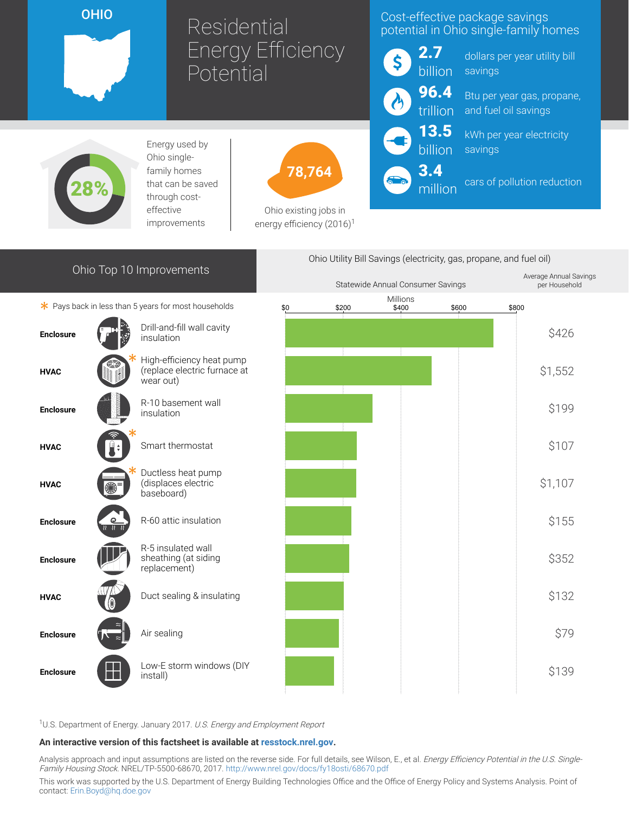OHIO

# Residential Energy Efficiency **Potential**

## Cost-effective package savings potential in Ohio single-family homes



13.5 billion

3.4

million

dollars per year utility bill savings

Btu per year gas, propane, and fuel oil savings

kWh per year electricity savings

cars of pollution reduction



Energy used by Ohio singlefamily homes that can be saved through costeffective improvements



Ohio existing jobs in energy efficiency  $(2016)^1$ 

# Ohio Top 10 Improvements

 $*$  Pays back in less than 5 years for most households



Enclosure



<sup>1</sup>U.S. Department of Energy. January 2017. U.S. Energy and Employment Report

#### An interactive version of this factsheet is available at [resstock.nrel.gov.](https://resstock.nrel.gov/)

Low-E storm windows (DIY<br>install)

Analysis approach and input assumptions are listed on the reverse side. For full details, see Wilson, E., et al. Energy Efficiency Potential in the U.S. Single-Family Housing Stock. NREL/TP-5500-68670, 2017. <http://www.nrel.gov/docs/fy18osti/68670.pdf>

This work was supported by the U.S. Department of Energy Building Technologies Office and the Office of Energy Policy and Systems Analysis. Point of contact: [Erin.Boyd@hq.doe.gov](mailto:Erin.Boyd@hq.doe.gov)